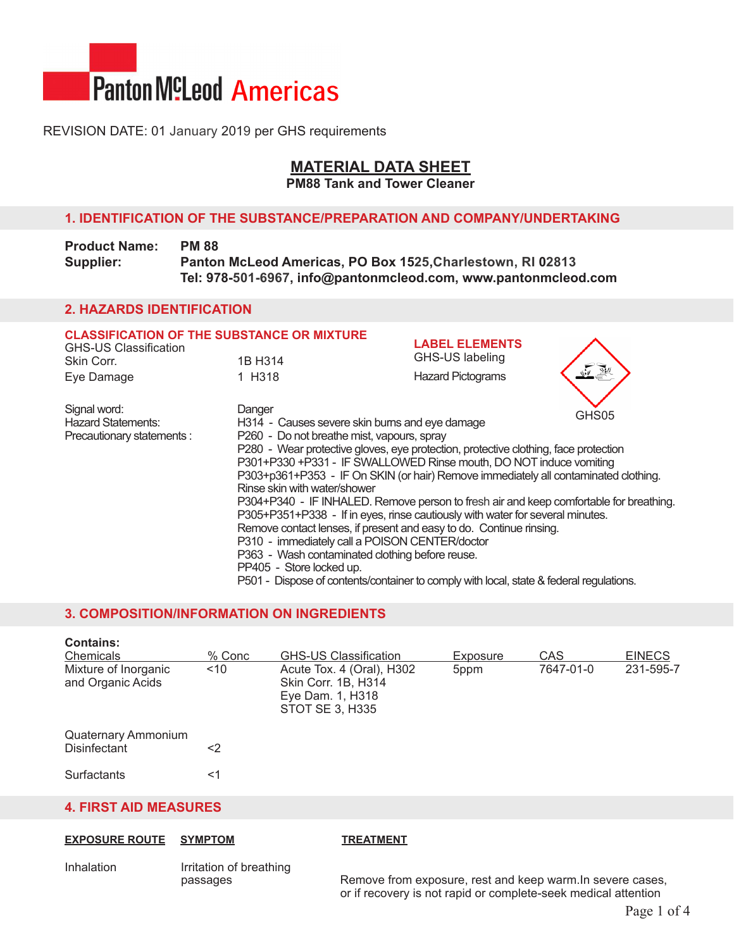

## Revision Date: 01 January 2019 per GHS requirements

# **Material Data Sheet**

**PM88 Tank and Tower Cleaner**

## **1. Identification of the substance/preparation and Company/undertaking**

| <b>Product Name:</b> | <b>PM 88</b>                                                   |
|----------------------|----------------------------------------------------------------|
| Supplier:            | Panton McLeod Americas, PO Box 1525, Charlestown, RI 02813     |
|                      | Tel: 978-501-6967, info@pantonmcleod.com, www.pantonmcleod.com |

## **2. Hazards Identification**

| <b>CLASSIFICATION OF THE SUBSTANCE OR MIXTURE</b><br><b>GHS-US Classification</b><br>Skin Corr. | 1B H314                                                                                 | <b>LABEL ELEMENTS</b><br>GHS-US labeling |       |  |  |
|-------------------------------------------------------------------------------------------------|-----------------------------------------------------------------------------------------|------------------------------------------|-------|--|--|
|                                                                                                 |                                                                                         |                                          |       |  |  |
| Eye Damage                                                                                      | 1 H318                                                                                  | <b>Hazard Pictograms</b>                 |       |  |  |
| Signal word:                                                                                    | Danger                                                                                  |                                          | GHS05 |  |  |
| <b>Hazard Statements:</b>                                                                       | H314 - Causes severe skin burns and eye damage                                          |                                          |       |  |  |
| Precautionary statements :                                                                      | P260 - Do not breathe mist, vapours, spray                                              |                                          |       |  |  |
|                                                                                                 | P280 - Wear protective gloves, eye protection, protective clothing, face protection     |                                          |       |  |  |
|                                                                                                 | P301+P330 +P331 - IF SWALLOWED Rinse mouth, DO NOT induce vomiting                      |                                          |       |  |  |
|                                                                                                 | P303+p361+P353 - IF On SKIN (or hair) Remove immediately all contaminated clothing.     |                                          |       |  |  |
|                                                                                                 | Rinse skin with water/shower                                                            |                                          |       |  |  |
|                                                                                                 | P304+P340 - IF INHALED. Remove person to fresh air and keep comfortable for breathing.  |                                          |       |  |  |
|                                                                                                 | P305+P351+P338 - If in eyes, rinse cautiously with water for several minutes.           |                                          |       |  |  |
|                                                                                                 | Remove contact lenses, if present and easy to do. Continue rinsing.                     |                                          |       |  |  |
|                                                                                                 | P310 - immediately call a POISON CENTER/doctor                                          |                                          |       |  |  |
|                                                                                                 | P363 - Wash contaminated clothing before reuse.                                         |                                          |       |  |  |
|                                                                                                 | PP405 - Store locked up.                                                                |                                          |       |  |  |
|                                                                                                 |                                                                                         |                                          |       |  |  |
|                                                                                                 | P501 - Dispose of contents/container to comply with local, state & federal regulations. |                                          |       |  |  |

## **3. Composition/Information on Ingredients**

| <b>Contains:</b><br>Chemicals             | $%$ Conc | <b>GHS-US Classification</b>                                                                   | Exposure         | CAS       | <b>EINECS</b> |
|-------------------------------------------|----------|------------------------------------------------------------------------------------------------|------------------|-----------|---------------|
| Mixture of Inorganic<br>and Organic Acids | ~10      | Acute Tox. 4 (Oral), H302<br>Skin Corr. 1B, H314<br>Eye Dam. 1, H318<br><b>STOT SE 3, H335</b> | 5 <sub>ppm</sub> | 7647-01-0 | 231-595-7     |
| Quaternary Ammonium<br>Disinfectant       | <2       |                                                                                                |                  |           |               |
| <b>Surfactants</b>                        | <1       |                                                                                                |                  |           |               |

## **4. First Aid measures**

# **Exposure Route Symptom Treatment**

Inhalation Irritation of breathing<br>passages

Remove from exposure, rest and keep warm.In severe cases, or if recovery is not rapid or complete-seek medical attention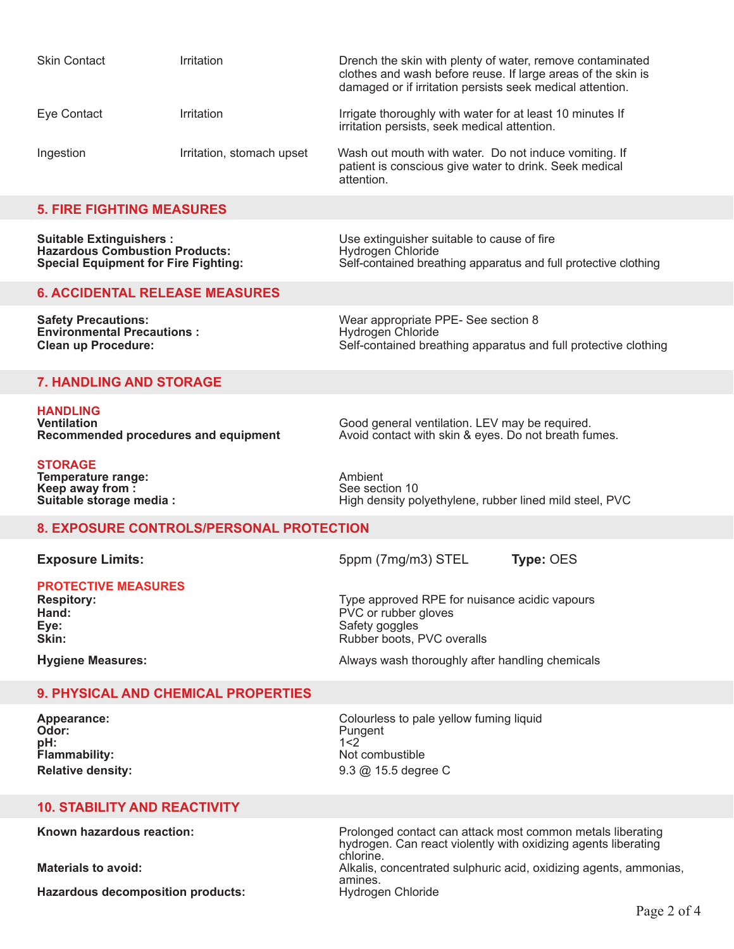| <b>Skin Contact</b> | Irritation                | Drench the skin with plenty of water, remove contaminated<br>clothes and wash before reuse. If large areas of the skin is<br>damaged or if irritation persists seek medical attention. |
|---------------------|---------------------------|----------------------------------------------------------------------------------------------------------------------------------------------------------------------------------------|
| Eye Contact         | Irritation                | Irrigate thoroughly with water for at least 10 minutes If<br>irritation persists, seek medical attention.                                                                              |
| Ingestion           | Irritation, stomach upset | Wash out mouth with water. Do not induce vomiting. If<br>patient is conscious give water to drink. Seek medical<br>attention.                                                          |

#### **5. Fire Fighting measures**

| <b>Suitable Extinguishers:</b>              | Use extinguisher suitable to cause of fire                      |
|---------------------------------------------|-----------------------------------------------------------------|
| <b>Hazardous Combustion Products:</b>       | Hydrogen Chloride                                               |
| <b>Special Equipment for Fire Fighting:</b> | Self-contained breathing apparatus and full protective clothing |

#### **6. Accidental Release measures**

**Safety Precautions: Wear appropriate PPE- See section 8**<br> **Environmental Precautions:** The Hydrogen Chloride **Environmental Precautions :<br>Clean up Procedure:** Self-contained breathing apparatus and full protective clothing

## **7. Handling and Storage**

**HANDLING**

**Ventilation** *Ventilation* Good general ventilation. LEV may be required.<br>**Recommended procedures and equipment** Avoid contact with skin & eyes. Do not breath fu Avoid contact with skin & eyes. Do not breath fumes.

**Storage Temperature range:**  $\begin{array}{ccc}\n\bullet & \bullet & \bullet & \bullet \\
\bullet & \bullet & \bullet & \bullet & \bullet \\
\bullet & \bullet & \bullet & \bullet & \bullet\n\end{array}$ **Keep away from :<br>Suitable storage media :** 

**Suitable storage media :** High density polyethylene, rubber lined mild steel, PVC

### **8. Exposure Controls/Personal protection**

**Exposure Limits:**  $5ppm (7mg/m3)$  STEL **Type: OES** 

**Protective Measures**

**Hand:** PVC or rubber gloves **Eve:** PVC or rubber gloves **Eve:** PVC or rubber gloves **Eye:** Safety goggles

**Respitory:** <br> **Respitory: Type approved RPE for nuisance acidic vapours**<br>
PVC or rubber gloves

**Skin:** Rubber boots, PVC overalls

**Hygiene Measures:** Always wash thoroughly after handling chemicals and the Always wash thoroughly after handling chemicals

## **9. Physical and Chemical Properties**

**Odor:** Pungent 2 and 2 and 2 and 2 and 2 and 2 and 2 and 2 and 2 and 2 and 2 and 2 and 2 and 2 and 2 and 2 and 2 and 2 and 2 and 2 and 2 and 2 and 2 and 2 and 2 and 2 and 2 and 2 and 2 and 2 and 2 and 2 and 2 and 2 and 2 **pH:** 1<2 **Flammability:** Not combustible

**Appearance:** <br> **Colourless to pale yellow fuming liquid**<br> **Odor:** Pungent **Relative density:** 9.3 @ 15.5 degree C

#### **10. Stability and Reactivity**

**Hazardous decomposition products:** 

**Known hazardous reaction:** Prolonged contact can attack most common metals liberating hydrogen. Can react violently with oxidizing agents liberating chlorine. **Materials to avoid:** Alkalis, concentrated sulphuric acid, oxidizing agents, ammonias, amines.<br>Hydrogen Chloride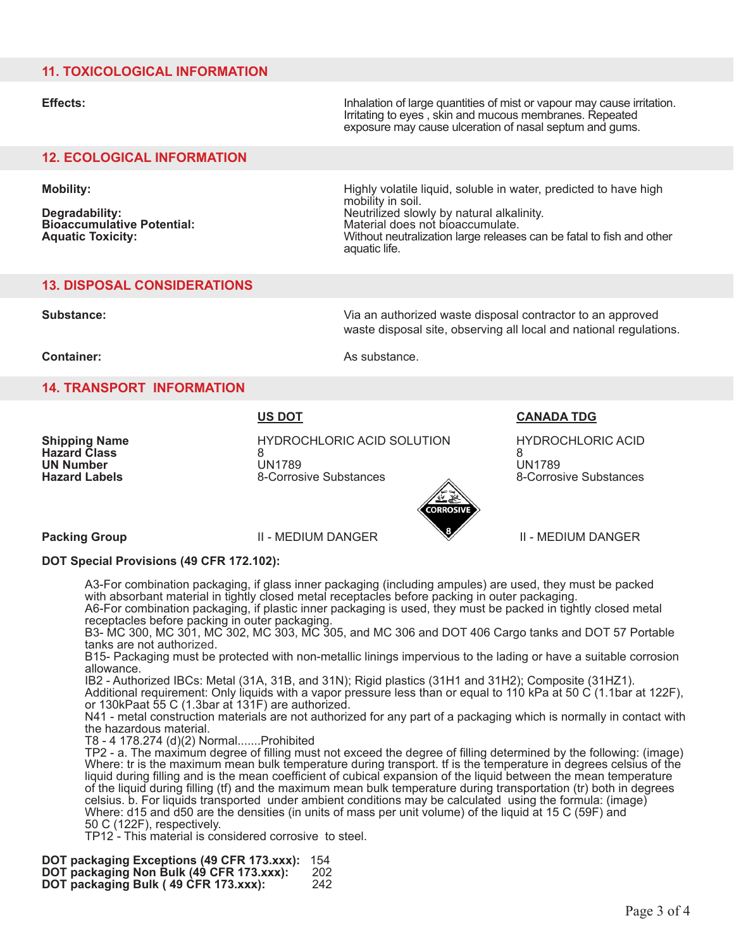## **11. Toxicological Information**

**Effects:** Inhalation of large quantities of mist or vapour may cause irritation. Irritating to eyes , skin and mucous membranes. Repeated exposure may cause ulceration of nasal septum and gums.

## **12. Ecological Information**

**Mobility:** Mobility: Mobility: The state of the state of the Highly volatile liquid, soluble in water, predicted to have high mobility in soil.<br>Neutrilized slowly by natural alkalinity. **Degradability: Neutrilized slowly by natural alkalinity: Bioaccumulative Potential:**<br> **Aduatic Toxicity:** Material does not bioaccumulate.<br>
Mithout neutralization large release **Aquatic Toxicity:** Without neutralization large releases can be fatal to fish and other aquatic life.

## **13. Disposal Considerations**

**Substance:** Via an authorized waste disposal contractor to an approved waste disposal site, observing all local and national regulations.

**Container:** As substance.

### **14. Transport Information**

**Shipping Name HYDROCHLORIC ACID SOLUTION** HYDROCHLORIC ACID<br>Hazard Class a R **Hazard Class** 8 8 **UN Number** UN1789 UN1789 **Hazard Labels** 8-Corrosive Substances 8-Corrosive Substances 8-Corrosive Substances



**US DOT CAnada TDG**

**Packing Group** II - Medium Danger II - medium Danger

### **DOT Special Provisions (49 CFR 172.102):**

A3-For combination packaging, if glass inner packaging (including ampules) are used, they must be packed with absorbant material in tightly closed metal receptacles before packing in outer packaging.

A6-For combination packaging, if plastic inner packaging is used, they must be packed in tightly closed metal receptacles before packing in outer packaging.

B3- MC 300, MC 301, MC 302, MC 303, MC 305, and MC 306 and DOT 406 Cargo tanks and DOT 57 Portable tanks are not authorized.

B15- Packaging must be protected with non-metallic linings impervious to the lading or have a suitable corrosion allowance.

IB2 - Authorized IBCs: Metal (31A, 31B, and 31N); Rigid plastics (31H1 and 31H2); Composite (31HZ1).

Additional requirement: Only liquids with a vapor pressure less than or equal to 110 kPa at 50 C (1.1bar at 122F), or 130kPaat 55 C (1.3bar at 131F) are authorized.

N41 - metal construction materials are not authorized for any part of a packaging which is normally in contact with the hazardous material.

T8 - 4 178.274 (d)(2) Normal.......Prohibited

TP2 - a. The maximum degree of filling must not exceed the degree of filling determined by the following: (image) Where: tr is the maximum mean bulk temperature during transport. If is the temperature in degrees celsius of the liquid during filling and is the mean coefficient of cubical expansion of the liquid between the mean temperature of the liquid during filling (tf) and the maximum mean bulk temperature during transportation (tr) both in degrees celsius. b. For liquids transported under ambient conditions may be calculated using the formula: (image) Where: d15 and d50 are the densities (in units of mass per unit volume) of the liquid at 15 C (59F) and 50 C (122F), respectively.

TP12 - This material is considered corrosive to steel.

**DOT packaging Exceptions (49 CFR 173.xxx):** 154 **DOT packaging Non Bulk (49 CFR 173.xxx):** 202 **DOT packaging Bulk ( 49 CFR 173.xxx):** 242